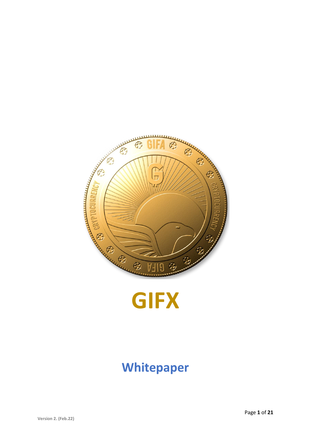



# **Whitepaper**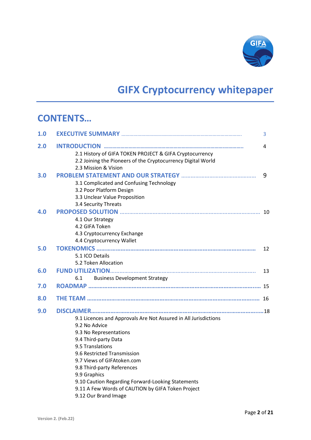

# **GIFX Cryptocurrency whitepaper**

## **CONTENTS…**

| 1.0 |                                                                                                                                                | 3  |
|-----|------------------------------------------------------------------------------------------------------------------------------------------------|----|
| 2.0 | 2.1 History of GIFA TOKEN PROJECT & GIFA Cryptocurrency<br>2.2 Joining the Pioneers of the Cryptocurrency Digital World                        | 4  |
| 3.0 | 2.3 Mission & Vision<br>3.1 Complicated and Confusing Technology                                                                               | 9  |
|     | 3.2 Poor Platform Design<br>3.3 Unclear Value Proposition<br>3.4 Security Threats                                                              |    |
| 4.0 | 4.1 Our Strategy<br>4.2 GIFA Token<br>4.3 Cryptocurrency Exchange<br>4.4 Cryptocurrency Wallet                                                 |    |
| 5.0 | 5.1 ICO Details<br>5.2 Token Allocation                                                                                                        | 12 |
| 6.0 | <b>Business Development Strategy</b><br>6.1                                                                                                    | 13 |
| 7.0 |                                                                                                                                                |    |
| 8.0 |                                                                                                                                                |    |
| 9.0 | 9.1 Licences and Approvals Are Not Assured in All Jurisdictions<br>9.2 No Advice                                                               |    |
|     | 9.3 No Representations<br>9.4 Third-party Data<br>9.5 Translations                                                                             |    |
|     | 9.6 Restricted Transmission<br>9.7 Views of GIFAtoken.com<br>9.8 Third-party References                                                        |    |
|     | 9.9 Graphics<br>9.10 Caution Regarding Forward-Looking Statements<br>9.11 A Few Words of CAUTION by GIFA Token Project<br>9.12 Our Brand Image |    |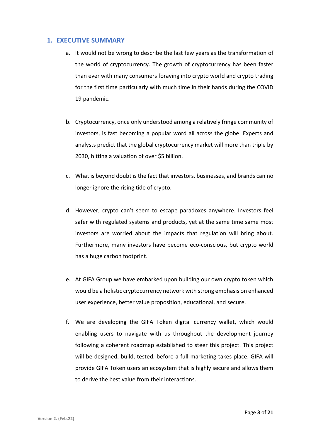#### **1. EXECUTIVE SUMMARY**

- a. It would not be wrong to describe the last few years as the transformation of the world of cryptocurrency. The growth of cryptocurrency has been faster than ever with many consumers foraying into crypto world and crypto trading for the first time particularly with much time in their hands during the COVID 19 pandemic.
- b. Cryptocurrency, once only understood among a relatively fringe community of investors, is fast becoming a popular word all across the globe. Experts and analysts predict that the global cryptocurrency market will more than triple by 2030, hitting a valuation of over \$5 billion.
- c. What is beyond doubt is the fact that investors, businesses, and brands can no longer ignore the rising tide of crypto.
- d. However, crypto can't seem to escape paradoxes anywhere. Investors feel safer with regulated systems and products, yet at the same time same most investors are worried about the impacts that regulation will bring about. Furthermore, many investors have become eco-conscious, but crypto world has a huge carbon footprint.
- e. At GIFA Group we have embarked upon building our own crypto token which would be a holistic cryptocurrency network with strong emphasis on enhanced user experience, better value proposition, educational, and secure.
- f. We are developing the GIFA Token digital currency wallet, which would enabling users to navigate with us throughout the development journey following a coherent roadmap established to steer this project. This project will be designed, build, tested, before a full marketing takes place. GIFA will provide GIFA Token users an ecosystem that is highly secure and allows them to derive the best value from their interactions.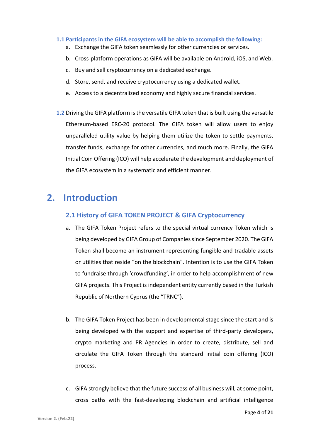#### **1.1 Participants in the GIFA ecosystem will be able to accomplish the following:**

- a. Exchange the GIFA token seamlessly for other currencies or services.
- b. Cross-platform operations as GIFA will be available on Android, iOS, and Web.
- c. Buy and sell cryptocurrency on a dedicated exchange.
- d. Store, send, and receive cryptocurrency using a dedicated wallet.
- e. Access to a decentralized economy and highly secure financial services.
- **1.2** Driving the GIFA platform is the versatile GIFA token that is built using the versatile Ethereum-based ERC-20 protocol. The GIFA token will allow users to enjoy unparalleled utility value by helping them utilize the token to settle payments, transfer funds, exchange for other currencies, and much more. Finally, the GIFA Initial Coin Offering (ICO) will help accelerate the development and deployment of the GIFA ecosystem in a systematic and efficient manner.

## **2. Introduction**

#### **2.1 History of GIFA TOKEN PROJECT & GIFA Cryptocurrency**

- a. The GIFA Token Project refers to the special virtual currency Token which is being developed by GIFA Group of Companies since September 2020. The GIFA Token shall become an instrument representing fungible and tradable assets or utilities that reside "on the blockchain". Intention is to use the GIFA Token to fundraise through 'crowdfunding', in order to help accomplishment of new GIFA projects. This Project is independent entity currently based in the Turkish Republic of Northern Cyprus (the "TRNC").
- b. The GIFA Token Project has been in developmental stage since the start and is being developed with the support and expertise of third-party developers, crypto marketing and PR Agencies in order to create, distribute, sell and circulate the GIFA Token through the standard initial coin offering (ICO) process.
- c. GIFA strongly believe that the future success of all business will, at some point, cross paths with the fast-developing blockchain and artificial intelligence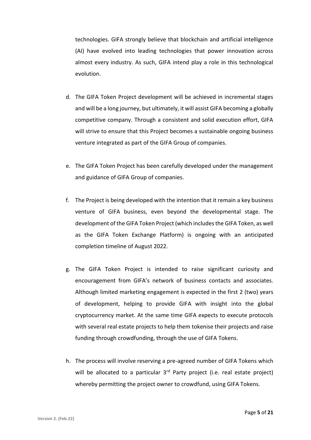technologies. GIFA strongly believe that blockchain and artificial intelligence (AI) have evolved into leading technologies that power innovation across almost every industry. As such, GIFA intend play a role in this technological evolution.

- d. The GIFA Token Project development will be achieved in incremental stages and will be a long journey, but ultimately, it will assist GIFA becoming a globally competitive company. Through a consistent and solid execution effort, GIFA will strive to ensure that this Project becomes a sustainable ongoing business venture integrated as part of the GIFA Group of companies.
- e. The GIFA Token Project has been carefully developed under the management and guidance of GIFA Group of companies.
- f. The Project is being developed with the intention that it remain a key business venture of GIFA business, even beyond the developmental stage. The development of the GIFA Token Project (which includes the GIFA Token, as well as the GIFA Token Exchange Platform) is ongoing with an anticipated completion timeline of August 2022.
- g. The GIFA Token Project is intended to raise significant curiosity and encouragement from GIFA's network of business contacts and associates. Although limited marketing engagement is expected in the first 2 (two) years of development, helping to provide GIFA with insight into the global cryptocurrency market. At the same time GIFA expects to execute protocols with several real estate projects to help them tokenise their projects and raise funding through crowdfunding, through the use of GIFA Tokens.
- h. The process will involve reserving a pre-agreed number of GIFA Tokens which will be allocated to a particular  $3<sup>rd</sup>$  Party project (i.e. real estate project) whereby permitting the project owner to crowdfund, using GIFA Tokens.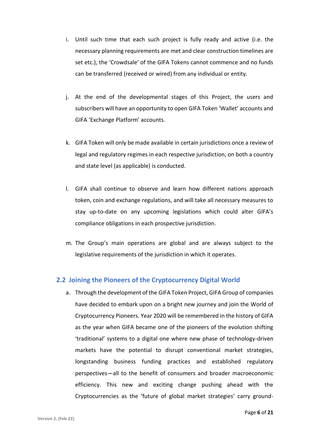- i. Until such time that each such project is fully ready and active (i.e. the necessary planning requirements are met and clear construction timelines are set etc.), the 'Crowdsale' of the GIFA Tokens cannot commence and no funds can be transferred (received or wired) from any individual or entity.
- j. At the end of the developmental stages of this Project, the users and subscribers will have an opportunity to open GIFA Token 'Wallet' accounts and GIFA 'Exchange Platform' accounts.
- k. GIFA Token will only be made available in certain jurisdictions once a review of legal and regulatory regimes in each respective jurisdiction, on both a country and state level (as applicable) is conducted.
- l. GIFA shall continue to observe and learn how different nations approach token, coin and exchange regulations, and will take all necessary measures to stay up-to-date on any upcoming legislations which could alter GIFA's compliance obligations in each prospective jurisdiction.
- m. The Group's main operations are global and are always subject to the legislative requirements of the jurisdiction in which it operates.

#### **2.2 Joining the Pioneers of the Cryptocurrency Digital World**

a. Through the development of the GIFA Token Project, GIFA Group of companies have decided to embark upon on a bright new journey and join the World of Cryptocurrency Pioneers. Year 2020 will be remembered in the history of GIFA as the year when GIFA became one of the pioneers of the evolution shifting 'traditional' systems to a digital one where new phase of technology-driven markets have the potential to disrupt conventional market strategies, longstanding business funding practices and established regulatory perspectives—all to the benefit of consumers and broader macroeconomic efficiency. This new and exciting change pushing ahead with the Cryptocurrencies as the 'future of global market strategies' carry ground-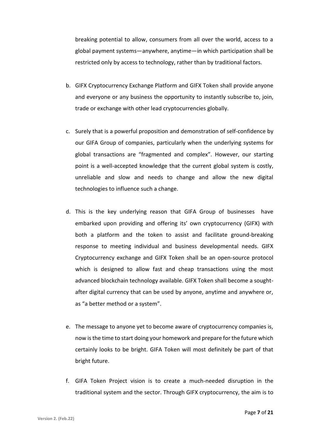breaking potential to allow, consumers from all over the world, access to a global payment systems—anywhere, anytime—in which participation shall be restricted only by access to technology, rather than by traditional factors.

- b. GIFX Cryptocurrency Exchange Platform and GIFX Token shall provide anyone and everyone or any business the opportunity to instantly subscribe to, join, trade or exchange with other lead cryptocurrencies globally.
- c. Surely that is a powerful proposition and demonstration of self-confidence by our GIFA Group of companies, particularly when the underlying systems for global transactions are "fragmented and complex". However, our starting point is a well-accepted knowledge that the current global system is costly, unreliable and slow and needs to change and allow the new digital technologies to influence such a change.
- d. This is the key underlying reason that GIFA Group of businesses have embarked upon providing and offering its' own cryptocurrency (GIFX) with both a platform and the token to assist and facilitate ground-breaking response to meeting individual and business developmental needs. GIFX Cryptocurrency exchange and GIFX Token shall be an open-source protocol which is designed to allow fast and cheap transactions using the most advanced blockchain technology available. GIFX Token shall become a soughtafter digital currency that can be used by anyone, anytime and anywhere or, as "a better method or a system".
- e. The message to anyone yet to become aware of cryptocurrency companies is, now is the time to start doing your homework and prepare for the future which certainly looks to be bright. GIFA Token will most definitely be part of that bright future.
- f. GIFA Token Project vision is to create a much-needed disruption in the traditional system and the sector. Through GIFX cryptocurrency, the aim is to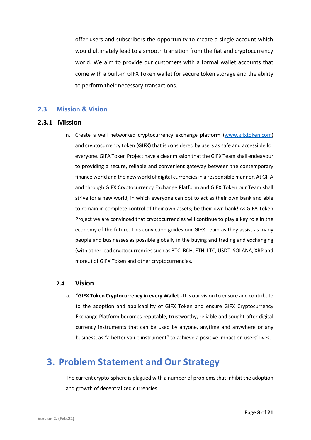offer users and subscribers the opportunity to create a single account which would ultimately lead to a smooth transition from the fiat and cryptocurrency world. We aim to provide our customers with a formal wallet accounts that come with a built-in GIFX Token wallet for secure token storage and the ability to perform their necessary transactions.

#### **2.3 Mission & Vision**

#### **2.3.1 Mission**

n. Create a well networked cryptocurrency exchange platform [\(www.gifxtoken.com\)](http://www.gifxtoken.com/) and cryptocurrency token **(GIFX)** that is considered by users as safe and accessible for everyone. GIFA Token Project have a clear mission that the GIFX Team shall endeavour to providing a secure, reliable and convenient gateway between the contemporary finance world and the new world of digital currencies in a responsible manner. At GIFA and through GIFX Cryptocurrency Exchange Platform and GIFX Token our Team shall strive for a new world, in which everyone can opt to act as their own bank and able to remain in complete control of their own assets; be their own bank! As GIFA Token Project we are convinced that cryptocurrencies will continue to play a key role in the economy of the future. This conviction guides our GIFX Team as they assist as many people and businesses as possible globally in the buying and trading and exchanging (with other lead cryptocurrencies such as BTC, BCH, ETH, LTC, USDT, SOLANA, XRP and more..) of GIFX Token and other cryptocurrencies.

#### **2.4 Vision**

a. "**GIFX Token Cryptocurrency in every Wallet -** It is our vision to ensure and contribute to the adoption and applicability of GIFX Token and ensure GIFX Cryptocurrency Exchange Platform becomes reputable, trustworthy, reliable and sought-after digital currency instruments that can be used by anyone, anytime and anywhere or any business, as "a better value instrument" to achieve a positive impact on users' lives.

## **3. Problem Statement and Our Strategy**

The current crypto-sphere is plagued with a number of problems that inhibit the adoption and growth of decentralized currencies.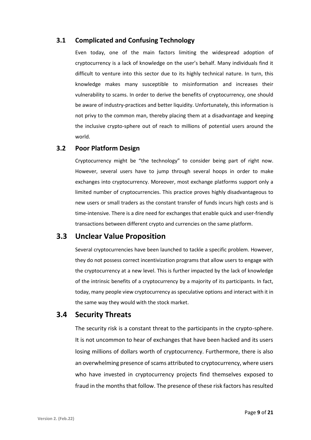#### **3.1 Complicated and Confusing Technology**

Even today, one of the main factors limiting the widespread adoption of cryptocurrency is a lack of knowledge on the user's behalf. Many individuals find it difficult to venture into this sector due to its highly technical nature. In turn, this knowledge makes many susceptible to misinformation and increases their vulnerability to scams. In order to derive the benefits of cryptocurrency, one should be aware of industry-practices and better liquidity. Unfortunately, this information is not privy to the common man, thereby placing them at a disadvantage and keeping the inclusive crypto-sphere out of reach to millions of potential users around the world.

#### **3.2 Poor Platform Design**

Cryptocurrency might be "the technology" to consider being part of right now. However, several users have to jump through several hoops in order to make exchanges into cryptocurrency. Moreover, most exchange platforms support only a limited number of cryptocurrencies. This practice proves highly disadvantageous to new users or small traders as the constant transfer of funds incurs high costs and is time-intensive. There is a dire need for exchanges that enable quick and user-friendly transactions between different crypto and currencies on the same platform.

### **3.3 Unclear Value Proposition**

Several cryptocurrencies have been launched to tackle a specific problem. However, they do not possess correct incentivization programs that allow users to engage with the cryptocurrency at a new level. This is further impacted by the lack of knowledge of the intrinsic benefits of a cryptocurrency by a majority of its participants. In fact, today, many people view cryptocurrency as speculative options and interact with it in the same way they would with the stock market.

### **3.4 Security Threats**

The security risk is a constant threat to the participants in the crypto-sphere. It is not uncommon to hear of exchanges that have been hacked and its users losing millions of dollars worth of cryptocurrency. Furthermore, there is also an overwhelming presence of scams attributed to cryptocurrency, where users who have invested in cryptocurrency projects find themselves exposed to fraud in the months that follow. The presence of these risk factors has resulted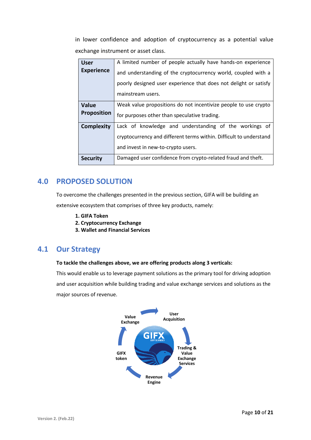in lower confidence and adoption of cryptocurrency as a potential value exchange instrument or asset class.

| <b>User</b>        | A limited number of people actually have hands-on experience       |  |  |  |
|--------------------|--------------------------------------------------------------------|--|--|--|
| <b>Experience</b>  | and understanding of the cryptocurrency world, coupled with a      |  |  |  |
|                    | poorly designed user experience that does not delight or satisfy   |  |  |  |
|                    | mainstream users.                                                  |  |  |  |
| <b>Value</b>       | Weak value propositions do not incentivize people to use crypto    |  |  |  |
| <b>Proposition</b> | for purposes other than speculative trading.                       |  |  |  |
| <b>Complexity</b>  | Lack of knowledge and understanding of the workings of             |  |  |  |
|                    | cryptocurrency and different terms within. Difficult to understand |  |  |  |
|                    | and invest in new-to-crypto users.                                 |  |  |  |
| <b>Security</b>    | Damaged user confidence from crypto-related fraud and theft.       |  |  |  |

### **4.0 PROPOSED SOLUTION**

To overcome the challenges presented in the previous section, GIFA will be building an

extensive ecosystem that comprises of three key products, namely:

- **1. GIFA Token**
- **2. Cryptocurrency Exchange**
- **3. Wallet and Financial Services**

### **4.1 Our Strategy**

#### **To tackle the challenges above, we are offering products along 3 verticals:**

This would enable us to leverage payment solutions as the primary tool for driving adoption and user acquisition while building trading and value exchange services and solutions as the major sources of revenue.

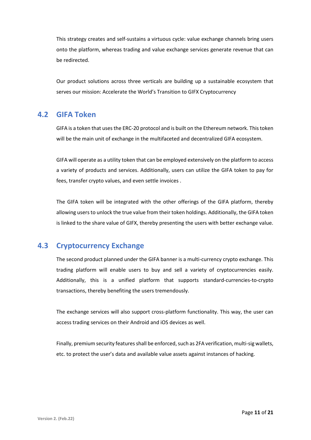This strategy creates and self-sustains a virtuous cycle: value exchange channels bring users onto the platform, whereas trading and value exchange services generate revenue that can be redirected.

Our product solutions across three verticals are building up a sustainable ecosystem that serves our mission: Accelerate the World's Transition to GIFX Cryptocurrency

### **4.2 GIFA Token**

GIFA is a token that uses the ERC-20 protocol and is built on the Ethereum network. This token will be the main unit of exchange in the multifaceted and decentralized GIFA ecosystem.

GIFA will operate as a utility token that can be employed extensively on the platform to access a variety of products and services. Additionally, users can utilize the GIFA token to pay for fees, transfer crypto values, and even settle invoices .

The GIFA token will be integrated with the other offerings of the GIFA platform, thereby allowing users to unlock the true value from their token holdings. Additionally, the GIFA token is linked to the share value of GIFX, thereby presenting the users with better exchange value.

### **4.3 Cryptocurrency Exchange**

The second product planned under the GIFA banner is a multi-currency crypto exchange. This trading platform will enable users to buy and sell a variety of cryptocurrencies easily. Additionally, this is a unified platform that supports standard-currencies-to-crypto transactions, thereby benefiting the users tremendously.

The exchange services will also support cross-platform functionality. This way, the user can access trading services on their Android and iOS devices as well.

Finally, premium security features shall be enforced, such as 2FA verification, multi-sig wallets, etc. to protect the user's data and available value assets against instances of hacking.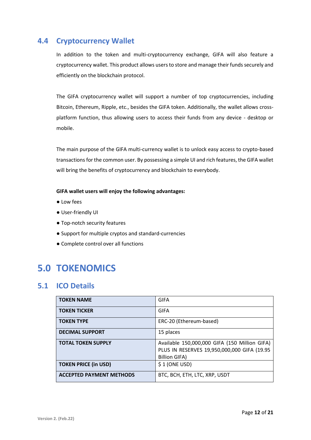### **4.4 Cryptocurrency Wallet**

In addition to the token and multi-cryptocurrency exchange, GIFA will also feature a cryptocurrency wallet. This product allows users to store and manage their funds securely and efficiently on the blockchain protocol.

The GIFA cryptocurrency wallet will support a number of top cryptocurrencies, including Bitcoin, Ethereum, Ripple, etc., besides the GIFA token. Additionally, the wallet allows crossplatform function, thus allowing users to access their funds from any device - desktop or mobile.

The main purpose of the GIFA multi-currency wallet is to unlock easy access to crypto-based transactions for the common user. By possessing a simple UI and rich features, the GIFA wallet will bring the benefits of cryptocurrency and blockchain to everybody.

#### **GIFA wallet users will enjoy the following advantages:**

- Low fees
- User-friendly UI
- Top-notch security features
- Support for multiple cryptos and standard-currencies
- Complete control over all functions

## **5.0 TOKENOMICS**

### **5.1 ICO Details**

| <b>TOKEN NAME</b>               | <b>GIFA</b>                                                                                                          |
|---------------------------------|----------------------------------------------------------------------------------------------------------------------|
| <b>TOKEN TICKER</b>             | GIFA                                                                                                                 |
| <b>TOKEN TYPE</b>               | ERC-20 (Ethereum-based)                                                                                              |
| <b>DECIMAL SUPPORT</b>          | 15 places                                                                                                            |
| <b>TOTAL TOKEN SUPPLY</b>       | Available 150,000,000 GIFA (150 Million GIFA)<br>PLUS IN RESERVES 19,950,000,000 GIFA (19.95<br><b>Billion GIFA)</b> |
| <b>TOKEN PRICE (in USD)</b>     | $$1$ (ONE USD)                                                                                                       |
| <b>ACCEPTED PAYMENT METHODS</b> | BTC, BCH, ETH, LTC, XRP, USDT                                                                                        |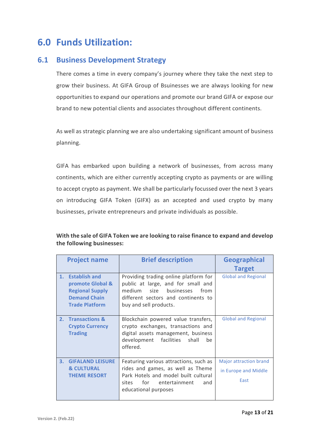## **6.0 Funds Utilization:**

### **6.1 Business Development Strategy**

There comes a time in every company's journey where they take the next step to grow their business. At GIFA Group of Bsuinesses we are always looking for new opportunities to expand our operations and promote our brand GIFA or expose our brand to new potential clients and associates throughout different continents.

As well as strategic planning we are also undertaking significant amount of business planning.

GIFA has embarked upon building a network of businesses, from across many continents, which are either currently accepting crypto as payments or are willing to accept crypto as payment. We shall be particularly focussed over the next 3 years on introducing GIFA Token (GIFX) as an accepted and used crypto by many businesses, private entrepreneurs and private individuals as possible.

|    | <b>Project name</b>                                                                                            | <b>Brief description</b>                                                                                                                                                             | <b>Geographical</b><br><b>Target</b>                          |
|----|----------------------------------------------------------------------------------------------------------------|--------------------------------------------------------------------------------------------------------------------------------------------------------------------------------------|---------------------------------------------------------------|
|    | 1. Establish and<br>promote Global &<br><b>Regional Supply</b><br><b>Demand Chain</b><br><b>Trade Platform</b> | Providing trading online platform for<br>public at large, and for small and<br>businesses<br>medium<br>size<br>from<br>different sectors and continents to<br>buy and sell products. | <b>Global and Regional</b>                                    |
|    | 2. Transactions &<br><b>Crypto Currency</b><br><b>Trading</b>                                                  | Blockchain powered value transfers,<br>crypto exchanges, transactions and<br>digital assets management, business<br>development facilities shall<br>be<br>offered.                   | <b>Global and Regional</b>                                    |
| 3. | <b>GIFALAND LEISURE</b><br><b>&amp; CULTURAL</b><br><b>THEME RESORT</b>                                        | Featuring various attractions, such as<br>rides and games, as well as Theme<br>Park Hotels and model built cultural<br>for entertainment<br>sites<br>and<br>educational purposes     | <b>Major attraction brand</b><br>in Europe and Middle<br>East |

#### **With the sale of GIFA Token we are looking to raise finance to expand and develop the following businesses:**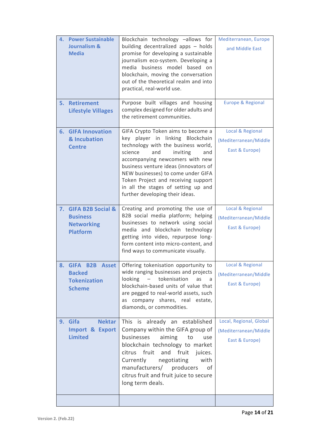| 4. Power Sustainable<br>Journalism &<br><b>Media</b>                                           | Blockchain technology -allows for<br>building decentralized apps - holds<br>promise for developing a sustainable<br>journalism eco-system. Developing a<br>media business model based on<br>blockchain, moving the conversation<br>out of the theoretical realm and into<br>practical, real-world use.                                                                                | Mediterranean, Europe<br>and Middle East                           |
|------------------------------------------------------------------------------------------------|---------------------------------------------------------------------------------------------------------------------------------------------------------------------------------------------------------------------------------------------------------------------------------------------------------------------------------------------------------------------------------------|--------------------------------------------------------------------|
| 5. Retirement<br><b>Lifestyle Villages</b>                                                     | Purpose built villages and housing<br>complex designed for older adults and<br>the retirement communities.                                                                                                                                                                                                                                                                            | <b>Europe &amp; Regional</b>                                       |
| <b>6. GIFA Innovation</b><br>& Incubation<br><b>Centre</b>                                     | GIFA Crypto Token aims to become a<br>key player in linking Blockchain<br>technology with the business world,<br>and<br>inviting<br>science<br>and<br>accompanying newcomers with new<br>business venture ideas (innovators of<br>NEW businesses) to come under GIFA<br>Token Project and receiving support<br>in all the stages of setting up and<br>further developing their ideas. | Local & Regional<br>(Mediterranean/Middle<br>East & Europe)        |
| 7. GIFA B2B Social &<br><b>Business</b><br><b>Networking</b><br><b>Platform</b>                | Creating and promoting the use of<br>B2B social media platform; helping<br>businesses to network using social<br>media and blockchain technology<br>getting into video, repurpose long-<br>form content into micro-content, and<br>find ways to communicate visually.                                                                                                                 | Local & Regional<br>(Mediterranean/Middle<br>East & Europe)        |
| <b>B2B</b><br>8. GIFA<br><b>Asset</b><br><b>Backed</b><br><b>Tokenization</b><br><b>Scheme</b> | Offering tokenisation opportunity to<br>wide ranging businesses and projects<br>looking<br>tokenisation<br>as<br>$\alpha \rightarrow \beta \gamma$<br>a<br>blockchain-based units of value that<br>are pegged to real-world assets, such<br>as company shares, real estate,<br>diamonds, or commodities.                                                                              | Local & Regional<br>(Mediterranean/Middle<br>East & Europe)        |
| 9. Gifa<br><b>Nektar</b><br>Import & Export<br><b>Limited</b>                                  | This is already an established<br>Company within the GIFA group of<br>businesses<br>aiming<br>to<br>use<br>blockchain technology to market<br>citrus<br>fruit<br>and<br>fruit<br>juices.<br>Currently<br>with<br>negotiating<br>manufacturers/ producers<br>οf<br>citrus fruit and fruit juice to secure<br>long term deals.                                                          | Local, Regional, Global<br>(Mediterranean/Middle<br>East & Europe) |
|                                                                                                |                                                                                                                                                                                                                                                                                                                                                                                       |                                                                    |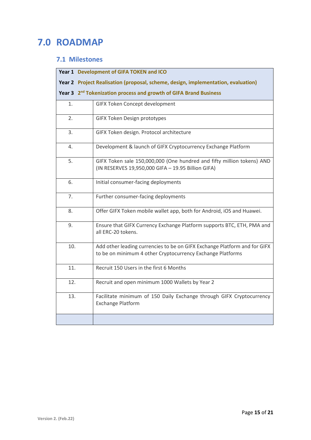## **7.0 ROADMAP**

### **7.1 Milestones**

|     | Year 1 Development of GIFA TOKEN and ICO                                                                                                |  |  |  |  |
|-----|-----------------------------------------------------------------------------------------------------------------------------------------|--|--|--|--|
|     | Year 2 Project Realisation (proposal, scheme, design, implementation, evaluation)                                                       |  |  |  |  |
|     | Year 3 2 <sup>nd</sup> Tokenization process and growth of GIFA Brand Business                                                           |  |  |  |  |
| 1.  | GIFX Token Concept development                                                                                                          |  |  |  |  |
| 2.  | <b>GIFX Token Design prototypes</b>                                                                                                     |  |  |  |  |
| 3.  | GIFX Token design. Protocol architecture                                                                                                |  |  |  |  |
| 4.  | Development & launch of GIFX Cryptocurrency Exchange Platform                                                                           |  |  |  |  |
| 5.  | GIFX Token sale 150,000,000 (One hundred and fifty million tokens) AND<br>(IN RESERVES 19,950,000 GIFA - 19.95 Billion GIFA)            |  |  |  |  |
| 6.  | Initial consumer-facing deployments                                                                                                     |  |  |  |  |
| 7.  | Further consumer-facing deployments                                                                                                     |  |  |  |  |
| 8.  | Offer GIFX Token mobile wallet app, both for Android, iOS and Huawei.                                                                   |  |  |  |  |
| 9.  | Ensure that GIFX Currency Exchange Platform supports BTC, ETH, PMA and<br>all ERC-20 tokens.                                            |  |  |  |  |
| 10. | Add other leading currencies to be on GIFX Exchange Platform and for GIFX<br>to be on minimum 4 other Cryptocurrency Exchange Platforms |  |  |  |  |
| 11. | Recruit 150 Users in the first 6 Months                                                                                                 |  |  |  |  |
| 12. | Recruit and open minimum 1000 Wallets by Year 2                                                                                         |  |  |  |  |
| 13. | Facilitate minimum of 150 Daily Exchange through GIFX Cryptocurrency<br><b>Exchange Platform</b>                                        |  |  |  |  |
|     |                                                                                                                                         |  |  |  |  |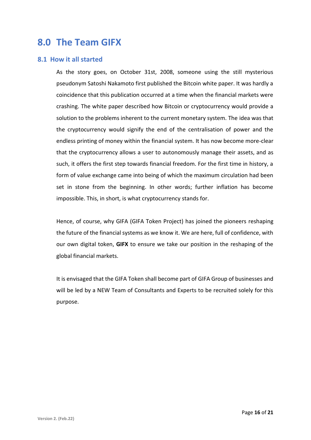## **8.0 The Team GIFX**

#### **8.1 How it all started**

As the story goes, on October 31st, 2008, someone using the still mysterious pseudonym Satoshi Nakamoto first published the Bitcoin white paper. It was hardly a coincidence that this publication occurred at a time when the financial markets were crashing. The white paper described how Bitcoin or cryptocurrency would provide a solution to the problems inherent to the current monetary system. The idea was that the cryptocurrency would signify the end of the centralisation of power and the endless printing of money within the financial system. It has now become more-clear that the cryptocurrency allows a user to autonomously manage their assets, and as such, it offers the first step towards financial freedom. For the first time in history, a form of value exchange came into being of which the maximum circulation had been set in stone from the beginning. In other words; further inflation has become impossible. This, in short, is what cryptocurrency stands for.

Hence, of course, why GIFA (GIFA Token Project) has joined the pioneers reshaping the future of the financial systems as we know it. We are here, full of confidence, with our own digital token, **GIFX** to ensure we take our position in the reshaping of the global financial markets.

It is envisaged that the GIFA Token shall become part of GIFA Group of businesses and will be led by a NEW Team of Consultants and Experts to be recruited solely for this purpose.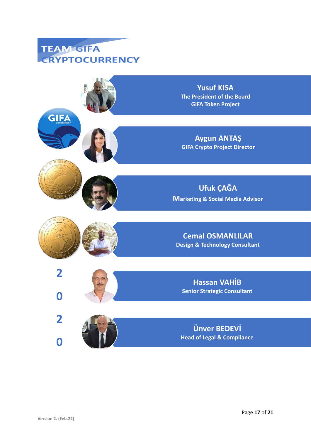

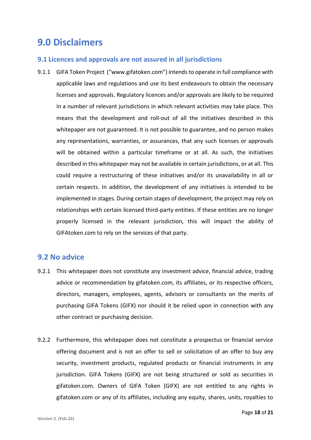## **9.0 Disclaimers**

#### **9.1 Licences and approvals are not assured in all jurisdictions**

9.1.1 GIFA Token Project ("www.gifatoken.com") intends to operate in full compliance with applicable laws and regulations and use its best endeavours to obtain the necessary licenses and approvals. Regulatory licences and/or approvals are likely to be required in a number of relevant jurisdictions in which relevant activities may take place. This means that the development and roll-out of all the initiatives described in this whitepaper are not guaranteed. It is not possible to guarantee, and no person makes any representations, warranties, or assurances, that any such licenses or approvals will be obtained within a particular timeframe or at all. As such, the initiatives described in this whitepaper may not be available in certain jurisdictions, or at all. This could require a restructuring of these initiatives and/or its unavailability in all or certain respects. In addition, the development of any initiatives is intended to be implemented in stages. During certain stages of development, the project may rely on relationships with certain licensed third-party entities. If these entities are no longer properly licensed in the relevant jurisdiction, this will impact the ability of GIFAtoken.com to rely on the services of that party.

### **9.2 No advice**

- 9.2.1 This whitepaper does not constitute any investment advice, financial advice, trading advice or recommendation by gifatoken.com, its affiliates, or its respective officers, directors, managers, employees, agents, advisors or consultants on the merits of purchasing GIFA Tokens (GIFX) nor should it be relied upon in connection with any other contract or purchasing decision.
- 9.2.2 Furthermore, this whitepaper does not constitute a prospectus or financial service offering document and is not an offer to sell or solicitation of an offer to buy any security, investment products, regulated products or financial instruments in any jurisdiction. GIFA Tokens (GIFX) are not being structured or sold as securities in gifatoken.com. Owners of GIFA Token (GIFX) are not entitled to any rights in gifatoken.com or any of its affiliates, including any equity, shares, units, royalties to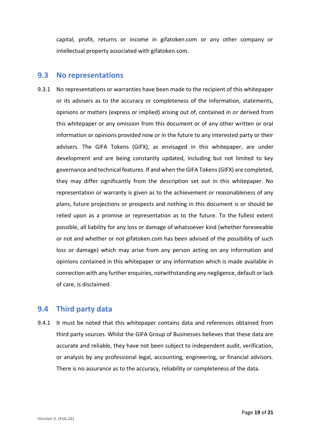capital, profit, returns or income in gifatoken.com or any other company or intellectual property associated with gifatoken.com.

#### **9.3 No representations**

9.3.1 No representations or warranties have been made to the recipient of this whitepaper or its advisers as to the accuracy or completeness of the information, statements, opinions or matters (express or implied) arising out of, contained in or derived from this whitepaper or any omission from this document or of any other written or oral information or opinions provided now or in the future to any interested party or their advisers. The GIFA Tokens (GIFX), as envisaged in this whitepaper, are under development and are being constantly updated, including but not limited to key governance and technical features. If and when the GIFA Tokens (GIFX) are completed, they may differ significantly from the description set out in this whitepaper. No representation or warranty is given as to the achievement or reasonableness of any plans, future projections or prospects and nothing in this document is or should be relied upon as a promise or representation as to the future. To the fullest extent possible, all liability for any loss or damage of whatsoever kind (whether foreseeable or not and whether or not gifatoken.com has been advised of the possibility of such loss or damage) which may arise from any person acting on any information and opinions contained in this whitepaper or any information which is made available in connection with any further enquiries, notwithstanding any negligence, default or lack of care, is disclaimed.

### **9.4 Third party data**

9.4.1 It must be noted that this whitepaper contains data and references obtained from third party sources. Whilst the GIFA Group of Businesses believes that these data are accurate and reliable, they have not been subject to independent audit, verification, or analysis by any professional legal, accounting, engineering, or financial advisors. There is no assurance as to the accuracy, reliability or completeness of the data.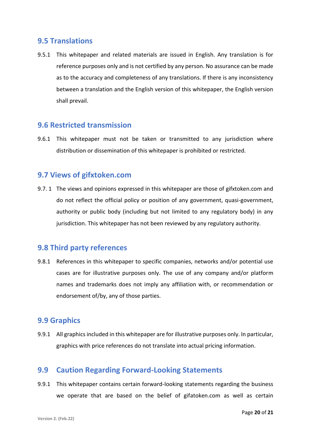### **9.5 Translations**

9.5.1 This whitepaper and related materials are issued in English. Any translation is for reference purposes only and is not certified by any person. No assurance can be made as to the accuracy and completeness of any translations. If there is any inconsistency between a translation and the English version of this whitepaper, the English version shall prevail.

#### **9.6 Restricted transmission**

9.6.1 This whitepaper must not be taken or transmitted to any jurisdiction where distribution or dissemination of this whitepaper is prohibited or restricted.

### **9.7 Views of gifxtoken.com**

9.7. 1 The views and opinions expressed in this whitepaper are those of gifxtoken.com and do not reflect the official policy or position of any government, quasi-government, authority or public body (including but not limited to any regulatory body) in any jurisdiction. This whitepaper has not been reviewed by any regulatory authority.

### **9.8 Third party references**

9.8.1 References in this whitepaper to specific companies, networks and/or potential use cases are for illustrative purposes only. The use of any company and/or platform names and trademarks does not imply any affiliation with, or recommendation or endorsement of/by, any of those parties.

#### **9.9 Graphics**

9.9.1 All graphics included in this whitepaper are for illustrative purposes only. In particular, graphics with price references do not translate into actual pricing information.

### **9.9 Caution Regarding Forward-Looking Statements**

9.9.1 This whitepaper contains certain forward-looking statements regarding the business we operate that are based on the belief of gifatoken.com as well as certain